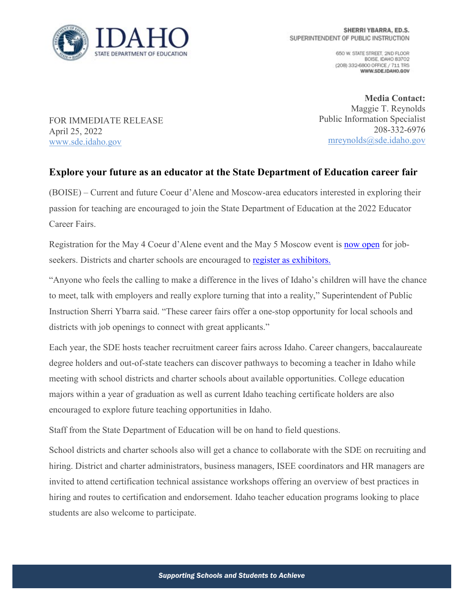

650 W. STATE STREET, 2ND FLOOR BOISE, IDAHO 83702 (208) 332-6800 OFFICE / 711 TRS WWW.SDE.IDAHO.GOV

FOR IMMEDIATE RELEASE April 25, 2022 [www.sde.idaho.gov](http://www.sde.idaho.gov/)

**Media Contact:** Maggie T. Reynolds Public Information Specialist 208-332-6976 [mreynolds@sde.idaho.gov](mailto:mreynolds@sde.idaho.gov)

## **Explore your future as an educator at the State Department of Education career fair**

(BOISE) – Current and future Coeur d'Alene and Moscow-area educators interested in exploring their passion for teaching are encouraged to join the State Department of Education at the 2022 Educator Career Fairs.

Registration for the May 4 Coeur d'Alene event and the May 5 Moscow event is [now open](https://www.sde.idaho.gov/events/career-fair/) for jobseekers. Districts and charter schools are encouraged to register as exhibitors.

"Anyone who feels the calling to make a difference in the lives of Idaho's children will have the chance to meet, talk with employers and really explore turning that into a reality," Superintendent of Public Instruction Sherri Ybarra said. "These career fairs offer a one-stop opportunity for local schools and districts with job openings to connect with great applicants."

Each year, the SDE hosts teacher recruitment career fairs across Idaho. Career changers, baccalaureate degree holders and out-of-state teachers can discover pathways to becoming a teacher in Idaho while meeting with school districts and charter schools about available opportunities. College education majors within a year of graduation as well as current Idaho teaching certificate holders are also encouraged to explore future teaching opportunities in Idaho.

Staff from the State Department of Education will be on hand to field questions.

School districts and charter schools also will get a chance to collaborate with the SDE on recruiting and hiring. District and charter administrators, business managers, ISEE coordinators and HR managers are invited to attend certification technical assistance workshops offering an overview of best practices in hiring and routes to certification and endorsement. Idaho teacher education programs looking to place students are also welcome to participate.